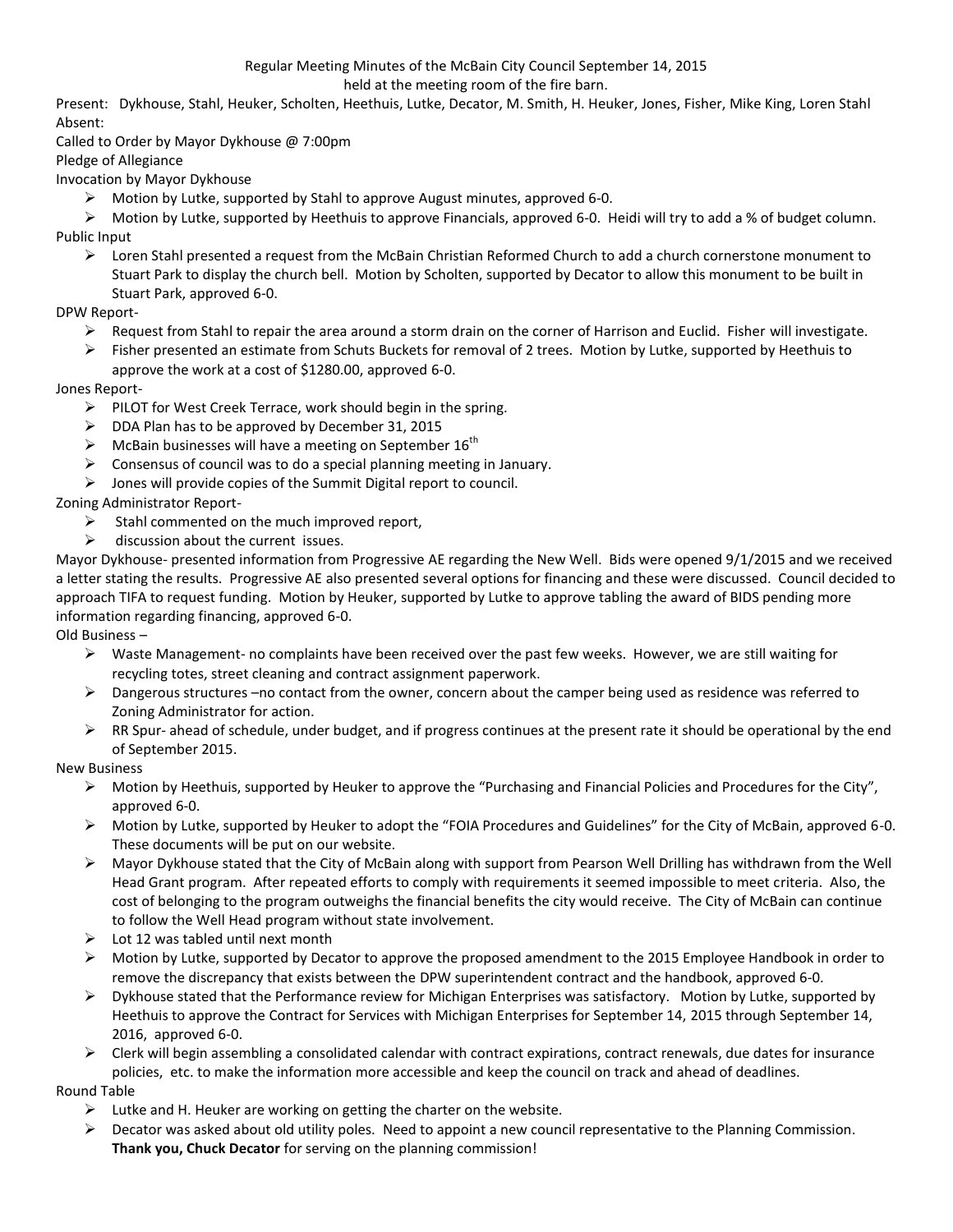# Regular Meeting Minutes of the McBain City Council September 14, 2015

held at the meeting room of the fire barn.

Present: Dykhouse, Stahl, Heuker, Scholten, Heethuis, Lutke, Decator, M. Smith, H. Heuker, Jones, Fisher, Mike King, Loren Stahl Absent:

Called to Order by Mayor Dykhouse @ 7:00pm

Pledge of Allegiance

Invocation by Mayor Dykhouse

 $\triangleright$  Motion by Lutke, supported by Stahl to approve August minutes, approved 6-0.

 $\triangleright$  Motion by Lutke, supported by Heethuis to approve Financials, approved 6-0. Heidi will try to add a % of budget column. Public Input

 $\triangleright$  Loren Stahl presented a request from the McBain Christian Reformed Church to add a church cornerstone monument to Stuart Park to display the church bell. Motion by Scholten, supported by Decator to allow this monument to be built in Stuart Park, approved 6-0.

### DPW Report-

- $\triangleright$  Request from Stahl to repair the area around a storm drain on the corner of Harrison and Euclid. Fisher will investigate.
- $\triangleright$  Fisher presented an estimate from Schuts Buckets for removal of 2 trees. Motion by Lutke, supported by Heethuis to approve the work at a cost of \$1280.00, approved 6-0.

## Jones Report-

- $\triangleright$  PILOT for West Creek Terrace, work should begin in the spring.
- $\triangleright$  DDA Plan has to be approved by December 31, 2015
- $\triangleright$  McBain businesses will have a meeting on September 16<sup>th</sup>
- $\triangleright$  Consensus of council was to do a special planning meeting in January.
- $\triangleright$  Jones will provide copies of the Summit Digital report to council.

Zoning Administrator Report-

- $\triangleright$  Stahl commented on the much improved report,
- $\triangleright$  discussion about the current issues.

Mayor Dykhouse- presented information from Progressive AE regarding the New Well. Bids were opened 9/1/2015 and we received a letter stating the results. Progressive AE also presented several options for financing and these were discussed. Council decided to approach TIFA to request funding. Motion by Heuker, supported by Lutke to approve tabling the award of BIDS pending more information regarding financing, approved 6-0.

Old Business –

- $\triangleright$  Waste Management- no complaints have been received over the past few weeks. However, we are still waiting for recycling totes, street cleaning and contract assignment paperwork.
- $\triangleright$  Dangerous structures –no contact from the owner, concern about the camper being used as residence was referred to Zoning Administrator for action.
- $\triangleright$  RR Spur- ahead of schedule, under budget, and if progress continues at the present rate it should be operational by the end of September 2015.

### New Business

- $\triangleright$  Motion by Heethuis, supported by Heuker to approve the "Purchasing and Financial Policies and Procedures for the City", approved 6-0.
- $\triangleright$  Motion by Lutke, supported by Heuker to adopt the "FOIA Procedures and Guidelines" for the City of McBain, approved 6-0. These documents will be put on our website.
- $\triangleright$  Mayor Dykhouse stated that the City of McBain along with support from Pearson Well Drilling has withdrawn from the Well Head Grant program. After repeated efforts to comply with requirements it seemed impossible to meet criteria. Also, the cost of belonging to the program outweighs the financial benefits the city would receive. The City of McBain can continue to follow the Well Head program without state involvement.
- $\triangleright$  Lot 12 was tabled until next month
- Motion by Lutke, supported by Decator to approve the proposed amendment to the 2015 Employee Handbook in order to remove the discrepancy that exists between the DPW superintendent contract and the handbook, approved 6-0.
- $\triangleright$  Dykhouse stated that the Performance review for Michigan Enterprises was satisfactory. Motion by Lutke, supported by Heethuis to approve the Contract for Services with Michigan Enterprises for September 14, 2015 through September 14, 2016, approved 6-0.
- $\triangleright$  Clerk will begin assembling a consolidated calendar with contract expirations, contract renewals, due dates for insurance policies, etc. to make the information more accessible and keep the council on track and ahead of deadlines.

### Round Table

- $\triangleright$  Lutke and H. Heuker are working on getting the charter on the website.
- Decator was asked about old utility poles. Need to appoint a new council representative to the Planning Commission. **Thank you, Chuck Decator** for serving on the planning commission!